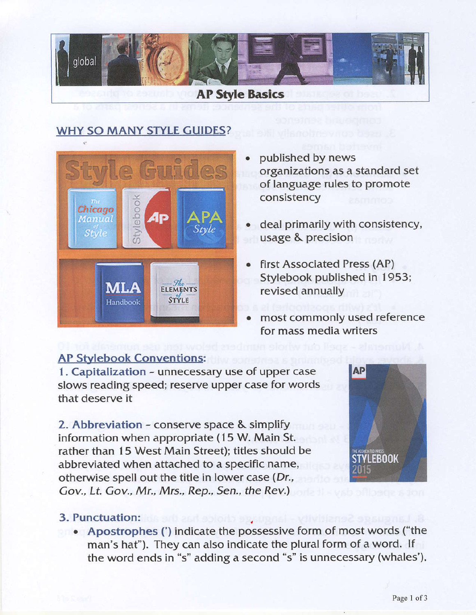

## WHY SO MANY STYLE GUIDES?



- . published by news organizations as a standard set of language rules to promote consistency
- deal primarily with consistency, usage & precision
- first Associated Press (AP) Stylebook published in 1953; revised annually
- most commonly used reference for mass media writers

## **AP Stylebook Conventions:**

1. Capitalization - unnecessary use of upper case slows reading speed; reserve upper case for words that deserve it

2. Abbreviation - conserve space & simplify information when appropriate (15 W. Main St. rather than 15 West Main Street); titles should be abbreviated when attached to a specific name, otherwise spell out the title in lower case (Dr., Gov., Lt. Gov., Mr., Mrs., Rep., Sen., the Rev.)



## 3. Punctuation:

• Apostrophes (') indicate the possessive form of most words ("the man's hat"). They can also indicate the plural form of a word. If the word ends in "s" adding a second "s" is unnecessary (whales'),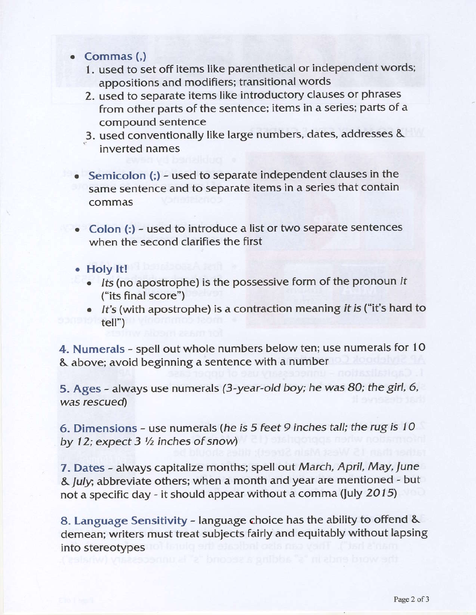- o Commas (,)
	- 1. used to set off items like parenthetical or independent words; appositions and modifiers; transitional words
	- 2. used to separate items like introductory clauses or phrases from other parts of the sentence; items in a series; parts of a compound sentence
	- .3. used conventionally like large numbers, dates, addresses & inverted names
- Semicolon (;) used to separate independent clauses in the same sentence and to separate items in a series that contain commas
- . Colon (:) used to introduce a list or two separate sentences when the second clarifies the first
- . Holy lt!
	- . Its (no apostrophe) is the possessive form of the pronoun it ("its final score")
	- It's (with apostrophe) is a contraction meaning it is ("it's hard to tell")

4. Numerals - spell out whole numbers below ten; use numerals for 1O & above; avoid beginning a sentence with a number

5. Ages - always use numerals (3-year-old boy; he was 80; the girl, 6, was rescued)

6. Dimensions - use numerals (he is 5 feet 9 inches tall: the rug is 1O by 12; expect  $3\frac{1}{2}$  inches of snow)

7. Dates - always capitalize months; spell out March, April, May, June & July; abbreviate others; when a month and year are mentioned - but not a specific day - it should appear without a comma (July 2015)

8. Language Sensitivity - language choice has the ability to offend & demean; writers must treat subiects fairly and equitably without lapsing into stereotypes